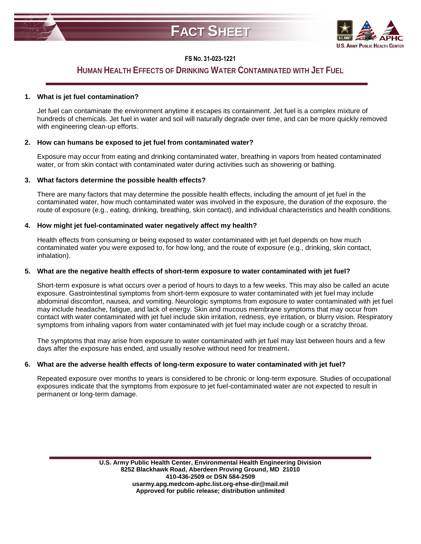



## **FS NO. 31-023-1221**

# **HUMAN HEALTH EFFECTS OF DRINKING WATER CONTAMINATED WITH JET FUEL**

#### **1. What is jet fuel contamination?**

Jet fuel can contaminate the environment anytime it escapes its containment. Jet fuel is a complex mixture of hundreds of chemicals. Jet fuel in water and soil will naturally degrade over time, and can be more quickly removed with engineering clean-up efforts.

### **2. How can humans be exposed to jet fuel from contaminated water?**

Exposure may occur from eating and drinking contaminated water, breathing in vapors from heated contaminated water, or from skin contact with contaminated water during activities such as showering or bathing.

### **3. What factors determine the possible health effects?**

There are many factors that may determine the possible health effects, including the amount of jet fuel in the contaminated water, how much contaminated water was involved in the exposure, the duration of the exposure, the route of exposure (e.g., eating, drinking, breathing, skin contact), and individual characteristics and health conditions.

### **4. How might jet fuel-contaminated water negatively affect my health?**

Health effects from consuming or being exposed to water contaminated with jet fuel depends on how much contaminated water you were exposed to, for how long, and the route of exposure (e.g., drinking, skin contact, inhalation).

### **5. What are the negative health effects of short-term exposure to water contaminated with jet fuel?**

Short-term exposure is what occurs over a period of hours to days to a few weeks. This may also be called an acute exposure. Gastrointestinal symptoms from short-term exposure to water contaminated with jet fuel may include abdominal discomfort, nausea, and vomiting. Neurologic symptoms from exposure to water contaminated with jet fuel may include headache, fatigue, and lack of energy. Skin and mucous membrane symptoms that may occur from contact with water contaminated with jet fuel include skin irritation, redness, eye irritation, or blurry vision. Respiratory symptoms from inhaling vapors from water contaminated with jet fuel may include cough or a scratchy throat.

The symptoms that may arise from exposure to water contaminated with jet fuel may last between hours and a few days after the exposure has ended, and usually resolve without need for treatment**.**

## **6. What are the adverse health effects of long-term exposure to water contaminated with jet fuel?**

Repeated exposure over months to years is considered to be chronic or long-term exposure. Studies of occupational exposures indicate that the symptoms from exposure to jet fuel-contaminated water are not expected to result in permanent or long-term damage.